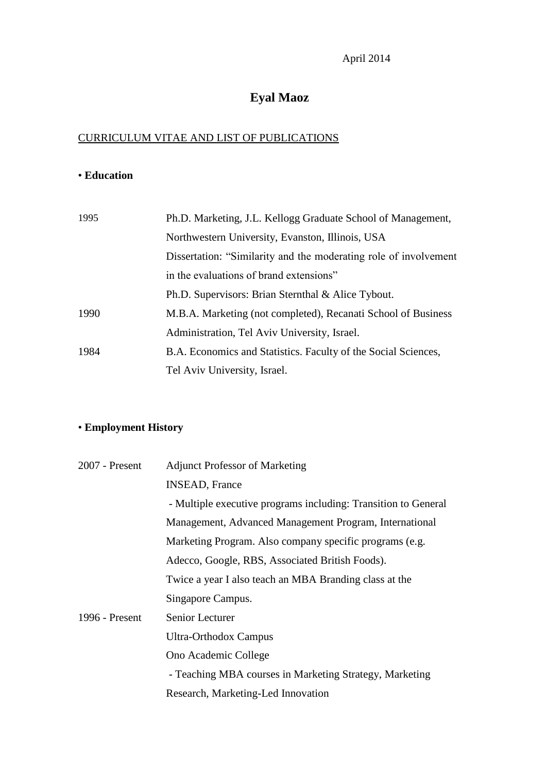# **Eyal Maoz**

## CURRICULUM VITAE AND LIST OF PUBLICATIONS

## • **Education**

| 1995 | Ph.D. Marketing, J.L. Kellogg Graduate School of Management,     |
|------|------------------------------------------------------------------|
|      | Northwestern University, Evanston, Illinois, USA                 |
|      | Dissertation: "Similarity and the moderating role of involvement |
|      | in the evaluations of brand extensions"                          |
|      | Ph.D. Supervisors: Brian Sternthal & Alice Tybout.               |
| 1990 | M.B.A. Marketing (not completed), Recanati School of Business    |
|      | Administration, Tel Aviv University, Israel.                     |
| 1984 | B.A. Economics and Statistics. Faculty of the Social Sciences,   |
|      | Tel Aviv University, Israel.                                     |

## • **Employment History**

| $2007$ - Present | <b>Adjunct Professor of Marketing</b>                          |  |  |
|------------------|----------------------------------------------------------------|--|--|
|                  | <b>INSEAD, France</b>                                          |  |  |
|                  | - Multiple executive programs including: Transition to General |  |  |
|                  | Management, Advanced Management Program, International         |  |  |
|                  | Marketing Program. Also company specific programs (e.g.        |  |  |
|                  | Adecco, Google, RBS, Associated British Foods).                |  |  |
|                  | Twice a year I also teach an MBA Branding class at the         |  |  |
|                  | Singapore Campus.                                              |  |  |
| 1996 - Present   | <b>Senior Lecturer</b>                                         |  |  |
|                  | <b>Ultra-Orthodox Campus</b>                                   |  |  |
|                  | Ono Academic College                                           |  |  |
|                  | - Teaching MBA courses in Marketing Strategy, Marketing        |  |  |
|                  | Research, Marketing-Led Innovation                             |  |  |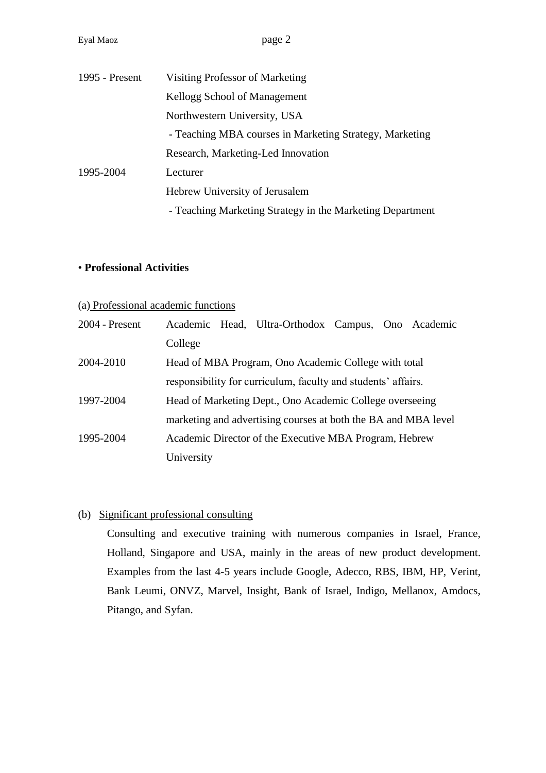| 1995 - Present | Visiting Professor of Marketing                           |
|----------------|-----------------------------------------------------------|
|                | Kellogg School of Management                              |
|                | Northwestern University, USA                              |
|                | - Teaching MBA courses in Marketing Strategy, Marketing   |
|                | Research, Marketing-Led Innovation                        |
| 1995-2004      | Lecturer                                                  |
|                | Hebrew University of Jerusalem                            |
|                | - Teaching Marketing Strategy in the Marketing Department |

#### • **Professional Activities**

#### (a) Professional academic functions

| $2004$ - Present | Academic Head, Ultra-Orthodox Campus, Ono Academic             |  |  |
|------------------|----------------------------------------------------------------|--|--|
|                  | College                                                        |  |  |
| 2004-2010        | Head of MBA Program, Ono Academic College with total           |  |  |
|                  | responsibility for curriculum, faculty and students' affairs.  |  |  |
| 1997-2004        | Head of Marketing Dept., Ono Academic College overseeing       |  |  |
|                  | marketing and advertising courses at both the BA and MBA level |  |  |
| 1995-2004        | Academic Director of the Executive MBA Program, Hebrew         |  |  |
|                  | University                                                     |  |  |

#### (b) Significant professional consulting

Consulting and executive training with numerous companies in Israel, France, Holland, Singapore and USA, mainly in the areas of new product development. Examples from the last 4-5 years include Google, Adecco, RBS, IBM, HP, Verint, Bank Leumi, ONVZ, Marvel, Insight, Bank of Israel, Indigo, Mellanox, Amdocs, Pitango, and Syfan.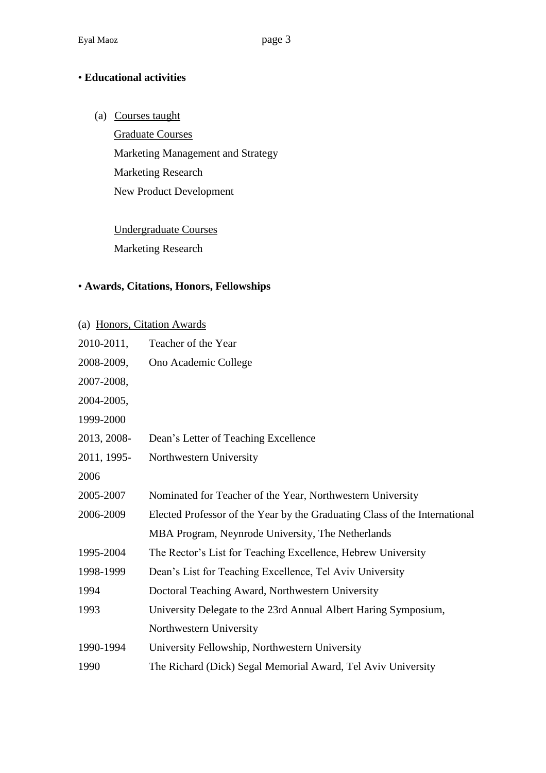### • **Educational activities**

(a) Courses taught

Graduate Courses Marketing Management and Strategy Marketing Research New Product Development

Undergraduate Courses Marketing Research

#### • **Awards, Citations, Honors, Fellowships**

| (a) Honors, Citation Awards |                                                                            |  |
|-----------------------------|----------------------------------------------------------------------------|--|
| 2010-2011,                  | Teacher of the Year                                                        |  |
| 2008-2009,                  | Ono Academic College                                                       |  |
| 2007-2008,                  |                                                                            |  |
| 2004-2005,                  |                                                                            |  |
| 1999-2000                   |                                                                            |  |
| 2013, 2008-                 | Dean's Letter of Teaching Excellence                                       |  |
| 2011, 1995-                 | Northwestern University                                                    |  |
| 2006                        |                                                                            |  |
| 2005-2007                   | Nominated for Teacher of the Year, Northwestern University                 |  |
| 2006-2009                   | Elected Professor of the Year by the Graduating Class of the International |  |
|                             | MBA Program, Neynrode University, The Netherlands                          |  |
| 1995-2004                   | The Rector's List for Teaching Excellence, Hebrew University               |  |
| 1998-1999                   | Dean's List for Teaching Excellence, Tel Aviv University                   |  |
| 1994                        | Doctoral Teaching Award, Northwestern University                           |  |
| 1993                        | University Delegate to the 23rd Annual Albert Haring Symposium,            |  |
|                             | Northwestern University                                                    |  |
| 1990-1994                   | University Fellowship, Northwestern University                             |  |
| 1990                        | The Richard (Dick) Segal Memorial Award, Tel Aviv University               |  |
|                             |                                                                            |  |